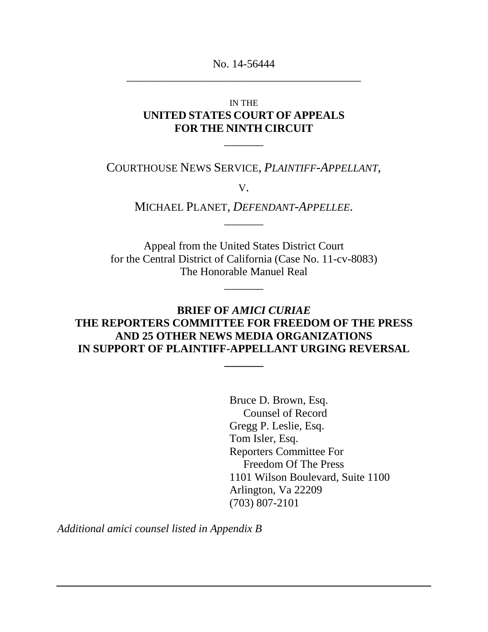No. 14-56444 \_\_\_\_\_\_\_\_\_\_\_\_\_\_\_\_\_\_\_\_\_\_\_\_\_\_\_\_\_\_\_\_\_\_\_\_\_\_\_\_\_\_

### IN THE **UNITED STATES COURT OF APPEALS FOR THE NINTH CIRCUIT**

COURTHOUSE NEWS SERVICE, *PLAINTIFF-APPELLANT*,

 $\overline{\phantom{a}}$ 

V.

MICHAEL PLANET, *DEFENDANT-APPELLEE*.  $\overline{\phantom{a}}$ 

Appeal from the United States District Court for the Central District of California (Case No. 11-cv-8083) The Honorable Manuel Real

 $\overline{\phantom{a}}$ 

### **BRIEF OF** *AMICI CURIAE* **THE REPORTERS COMMITTEE FOR FREEDOM OF THE PRESS AND 25 OTHER NEWS MEDIA ORGANIZATIONS IN SUPPORT OF PLAINTIFF-APPELLANT URGING REVERSAL**

**\_\_\_\_\_\_\_**

Bruce D. Brown, Esq. Counsel of Record Gregg P. Leslie, Esq. Tom Isler, Esq. Reporters Committee For Freedom Of The Press 1101 Wilson Boulevard, Suite 1100 Arlington, Va 22209 (703) 807-2101

*Additional amici counsel listed in Appendix B*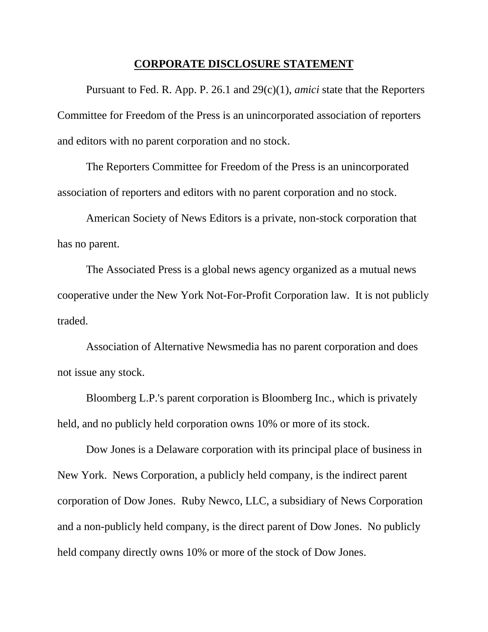#### **CORPORATE DISCLOSURE STATEMENT**

Pursuant to Fed. R. App. P. 26.1 and 29(c)(1), *amici* state that the Reporters Committee for Freedom of the Press is an unincorporated association of reporters and editors with no parent corporation and no stock.

The Reporters Committee for Freedom of the Press is an unincorporated association of reporters and editors with no parent corporation and no stock.

American Society of News Editors is a private, non-stock corporation that has no parent.

The Associated Press is a global news agency organized as a mutual news cooperative under the New York Not-For-Profit Corporation law. It is not publicly traded.

Association of Alternative Newsmedia has no parent corporation and does not issue any stock.

Bloomberg L.P.'s parent corporation is Bloomberg Inc., which is privately held, and no publicly held corporation owns 10% or more of its stock.

Dow Jones is a Delaware corporation with its principal place of business in New York. News Corporation, a publicly held company, is the indirect parent corporation of Dow Jones. Ruby Newco, LLC, a subsidiary of News Corporation and a non-publicly held company, is the direct parent of Dow Jones. No publicly held company directly owns 10% or more of the stock of Dow Jones.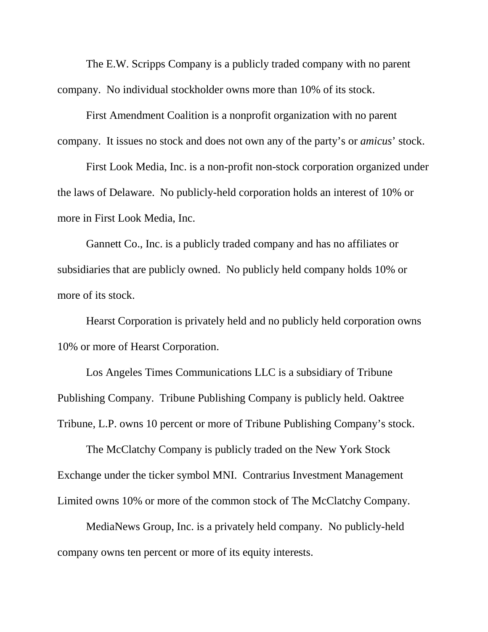The E.W. Scripps Company is a publicly traded company with no parent company. No individual stockholder owns more than 10% of its stock.

First Amendment Coalition is a nonprofit organization with no parent company. It issues no stock and does not own any of the party's or *amicus*' stock.

First Look Media, Inc. is a non-profit non-stock corporation organized under the laws of Delaware. No publicly-held corporation holds an interest of 10% or more in First Look Media, Inc.

Gannett Co., Inc. is a publicly traded company and has no affiliates or subsidiaries that are publicly owned. No publicly held company holds 10% or more of its stock.

Hearst Corporation is privately held and no publicly held corporation owns 10% or more of Hearst Corporation.

Los Angeles Times Communications LLC is a subsidiary of Tribune Publishing Company. Tribune Publishing Company is publicly held. Oaktree Tribune, L.P. owns 10 percent or more of Tribune Publishing Company's stock.

The McClatchy Company is publicly traded on the New York Stock Exchange under the ticker symbol MNI. Contrarius Investment Management Limited owns 10% or more of the common stock of The McClatchy Company.

MediaNews Group, Inc. is a privately held company. No publicly-held company owns ten percent or more of its equity interests.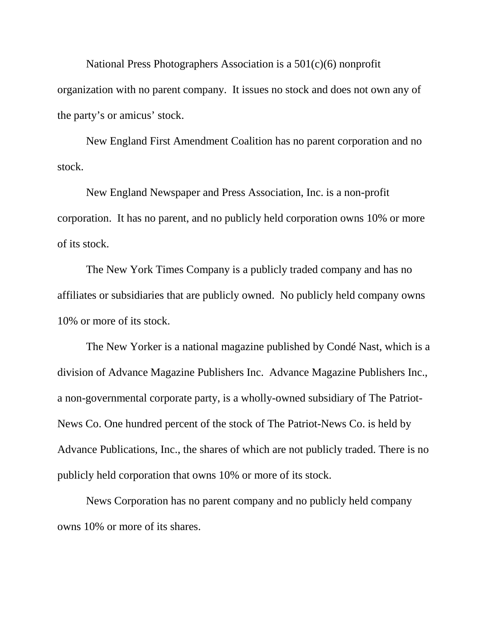National Press Photographers Association is a 501(c)(6) nonprofit organization with no parent company. It issues no stock and does not own any of the party's or amicus' stock.

New England First Amendment Coalition has no parent corporation and no stock.

New England Newspaper and Press Association, Inc. is a non-profit corporation. It has no parent, and no publicly held corporation owns 10% or more of its stock.

The New York Times Company is a publicly traded company and has no affiliates or subsidiaries that are publicly owned. No publicly held company owns 10% or more of its stock.

The New Yorker is a national magazine published by Condé Nast, which is a division of Advance Magazine Publishers Inc. Advance Magazine Publishers Inc., a non-governmental corporate party, is a wholly-owned subsidiary of The Patriot-News Co. One hundred percent of the stock of The Patriot-News Co. is held by Advance Publications, Inc., the shares of which are not publicly traded. There is no publicly held corporation that owns 10% or more of its stock.

News Corporation has no parent company and no publicly held company owns 10% or more of its shares.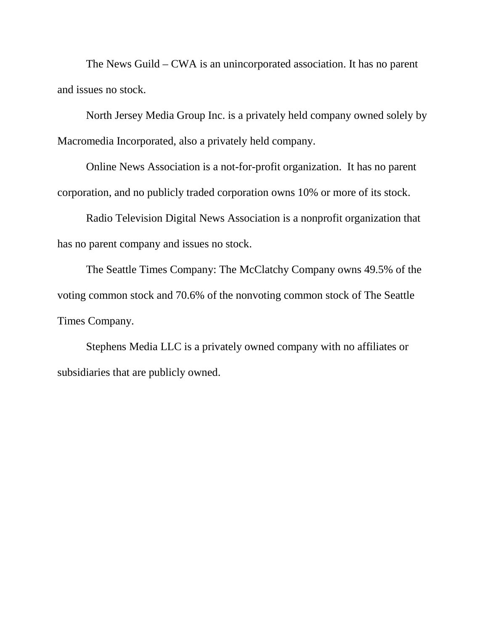The News Guild – CWA is an unincorporated association. It has no parent and issues no stock.

North Jersey Media Group Inc. is a privately held company owned solely by Macromedia Incorporated, also a privately held company.

Online News Association is a not-for-profit organization. It has no parent corporation, and no publicly traded corporation owns 10% or more of its stock.

Radio Television Digital News Association is a nonprofit organization that has no parent company and issues no stock.

The Seattle Times Company: The McClatchy Company owns 49.5% of the voting common stock and 70.6% of the nonvoting common stock of The Seattle Times Company.

Stephens Media LLC is a privately owned company with no affiliates or subsidiaries that are publicly owned.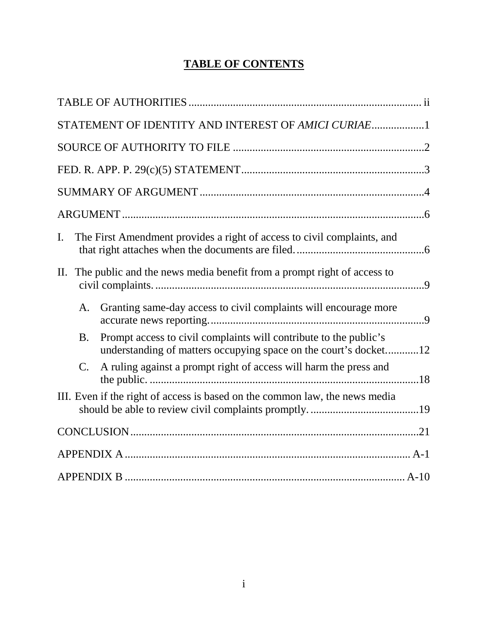# **TABLE OF CONTENTS**

| STATEMENT OF IDENTITY AND INTEREST OF AMICI CURIAE1                                                                                                |  |
|----------------------------------------------------------------------------------------------------------------------------------------------------|--|
|                                                                                                                                                    |  |
|                                                                                                                                                    |  |
|                                                                                                                                                    |  |
|                                                                                                                                                    |  |
| The First Amendment provides a right of access to civil complaints, and<br>I.                                                                      |  |
| The public and the news media benefit from a prompt right of access to<br>П.                                                                       |  |
| Granting same-day access to civil complaints will encourage more<br>A.                                                                             |  |
| Prompt access to civil complaints will contribute to the public's<br><b>B.</b><br>understanding of matters occupying space on the court's docket12 |  |
| A ruling against a prompt right of access will harm the press and<br>$\mathcal{C}$ .                                                               |  |
| III. Even if the right of access is based on the common law, the news media                                                                        |  |
|                                                                                                                                                    |  |
|                                                                                                                                                    |  |
|                                                                                                                                                    |  |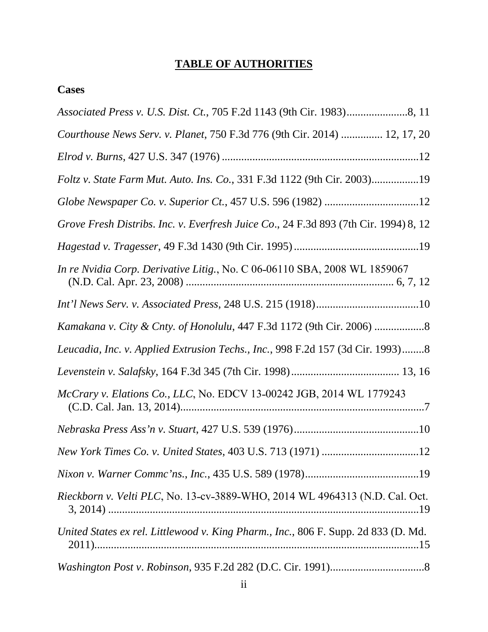# **TABLE OF AUTHORITIES**

## <span id="page-6-0"></span>**Cases**

| Courthouse News Serv. v. Planet, 750 F.3d 776 (9th Cir. 2014)  12, 17, 20            |
|--------------------------------------------------------------------------------------|
|                                                                                      |
| Foltz v. State Farm Mut. Auto. Ins. Co., 331 F.3d 1122 (9th Cir. 2003)19             |
|                                                                                      |
| Grove Fresh Distribs. Inc. v. Everfresh Juice Co., 24 F.3d 893 (7th Cir. 1994) 8, 12 |
|                                                                                      |
| In re Nvidia Corp. Derivative Litig., No. C 06-06110 SBA, 2008 WL 1859067            |
|                                                                                      |
| Kamakana v. City & Cnty. of Honolulu, 447 F.3d 1172 (9th Cir. 2006) 8                |
| Leucadia, Inc. v. Applied Extrusion Techs., Inc., 998 F.2d 157 (3d Cir. 1993)8       |
|                                                                                      |
| McCrary v. Elations Co., LLC, No. EDCV 13-00242 JGB, 2014 WL 1779243                 |
|                                                                                      |
|                                                                                      |
|                                                                                      |
| Rieckborn v. Velti PLC, No. 13-cv-3889-WHO, 2014 WL 4964313 (N.D. Cal. Oct.          |
| United States ex rel. Littlewood v. King Pharm., Inc., 806 F. Supp. 2d 833 (D. Md.   |
|                                                                                      |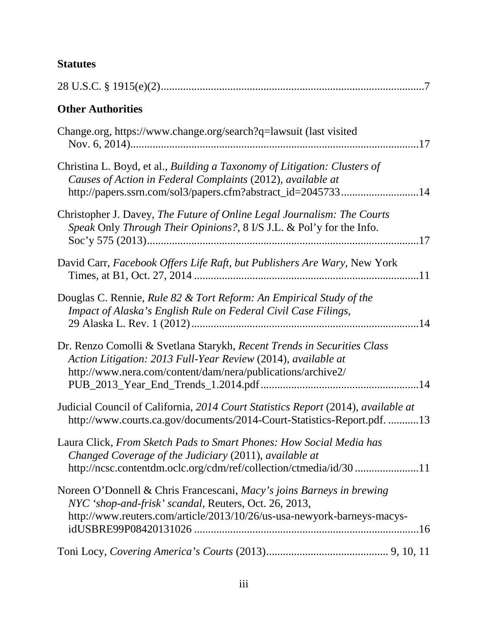## **Statutes**

| <b>Other Authorities</b>                                                                                                                                                                                  |
|-----------------------------------------------------------------------------------------------------------------------------------------------------------------------------------------------------------|
| Change.org, https://www.change.org/search?q=lawsuit (last visited                                                                                                                                         |
| Christina L. Boyd, et al., Building a Taxonomy of Litigation: Clusters of<br>Causes of Action in Federal Complaints (2012), available at<br>http://papers.ssrn.com/sol3/papers.cfm?abstract_id=204573314  |
| Christopher J. Davey, The Future of Online Legal Journalism: The Courts<br>Speak Only Through Their Opinions?, 8 I/S J.L. & Pol'y for the Info.                                                           |
| David Carr, Facebook Offers Life Raft, but Publishers Are Wary, New York                                                                                                                                  |
| Douglas C. Rennie, Rule 82 & Tort Reform: An Empirical Study of the<br>Impact of Alaska's English Rule on Federal Civil Case Filings,                                                                     |
| Dr. Renzo Comolli & Svetlana Starykh, Recent Trends in Securities Class<br>Action Litigation: 2013 Full-Year Review (2014), available at<br>http://www.nera.com/content/dam/nera/publications/archive2/   |
| Judicial Council of California, 2014 Court Statistics Report (2014), available at<br>http://www.courts.ca.gov/documents/2014-Court-Statistics-Report.pdf. 13                                              |
| Laura Click, From Sketch Pads to Smart Phones: How Social Media has<br>Changed Coverage of the Judiciary (2011), available at<br>http://ncsc.contentdm.oclc.org/cdm/ref/collection/ctmedia/id/30 11       |
| Noreen O'Donnell & Chris Francescani, Macy's joins Barneys in brewing<br>NYC 'shop-and-frisk' scandal, Reuters, Oct. 26, 2013,<br>http://www.reuters.com/article/2013/10/26/us-usa-newyork-barneys-macys- |
|                                                                                                                                                                                                           |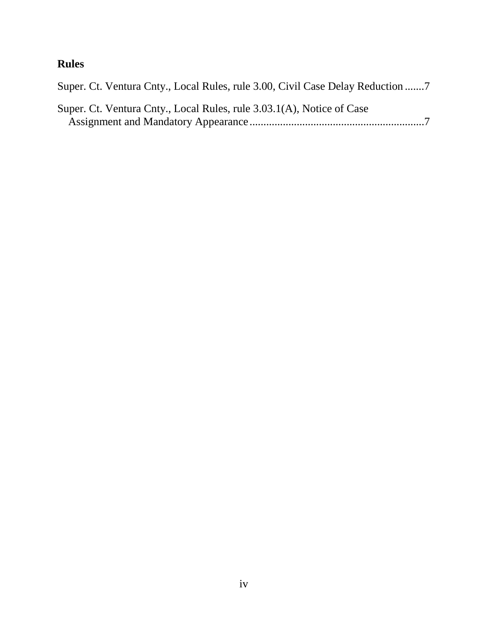# **Rules**

| Super. Ct. Ventura Cnty., Local Rules, rule 3.00, Civil Case Delay Reduction |
|------------------------------------------------------------------------------|
| Super. Ct. Ventura Cnty., Local Rules, rule 3.03.1(A), Notice of Case        |
|                                                                              |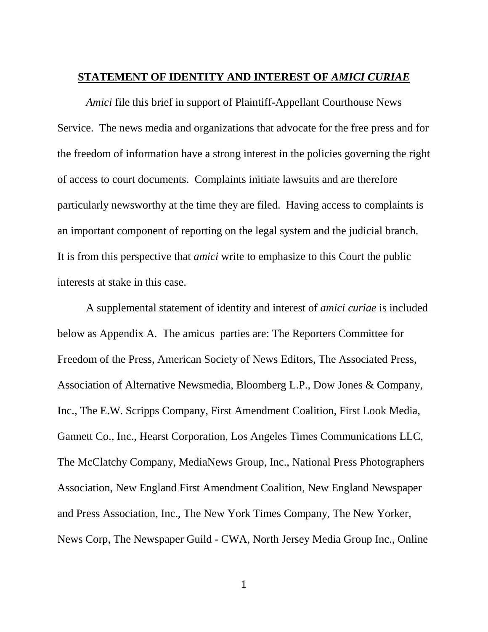#### <span id="page-9-0"></span>**STATEMENT OF IDENTITY AND INTEREST OF** *AMICI CURIAE*

*Amici* file this brief in support of Plaintiff-Appellant Courthouse News Service. The news media and organizations that advocate for the free press and for the freedom of information have a strong interest in the policies governing the right of access to court documents. Complaints initiate lawsuits and are therefore particularly newsworthy at the time they are filed. Having access to complaints is an important component of reporting on the legal system and the judicial branch. It is from this perspective that *amici* write to emphasize to this Court the public interests at stake in this case.

A supplemental statement of identity and interest of *amici curiae* is included below as Appendix A. The amicus parties are: The Reporters Committee for Freedom of the Press, American Society of News Editors, The Associated Press, Association of Alternative Newsmedia, Bloomberg L.P., Dow Jones & Company, Inc., The E.W. Scripps Company, First Amendment Coalition, First Look Media, Gannett Co., Inc., Hearst Corporation, Los Angeles Times Communications LLC, The McClatchy Company, MediaNews Group, Inc., National Press Photographers Association, New England First Amendment Coalition, New England Newspaper and Press Association, Inc., The New York Times Company, The New Yorker, News Corp, The Newspaper Guild - CWA, North Jersey Media Group Inc., Online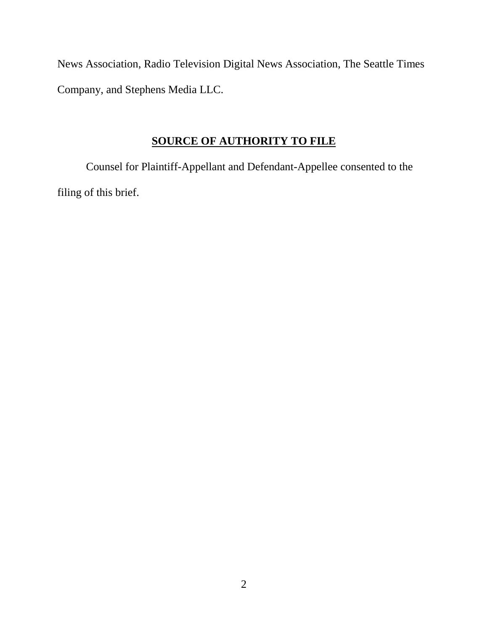News Association, Radio Television Digital News Association, The Seattle Times Company, and Stephens Media LLC.

## **SOURCE OF AUTHORITY TO FILE**

<span id="page-10-0"></span>Counsel for Plaintiff-Appellant and Defendant-Appellee consented to the filing of this brief.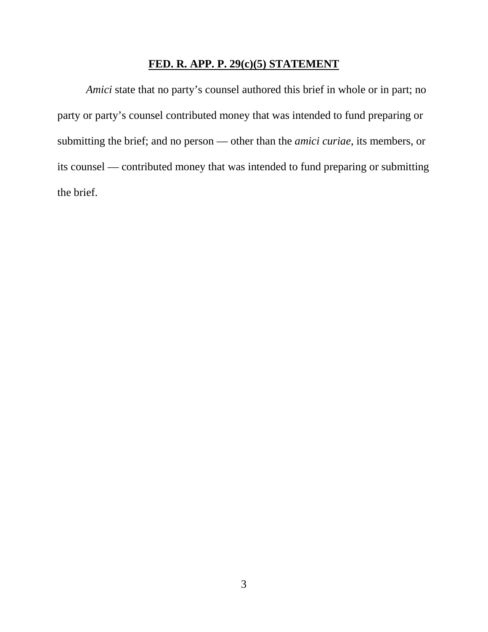# **FED. R. APP. P. 29(c)(5) STATEMENT**

<span id="page-11-0"></span>*Amici* state that no party's counsel authored this brief in whole or in part; no party or party's counsel contributed money that was intended to fund preparing or submitting the brief; and no person — other than the *amici curiae*, its members, or its counsel — contributed money that was intended to fund preparing or submitting the brief.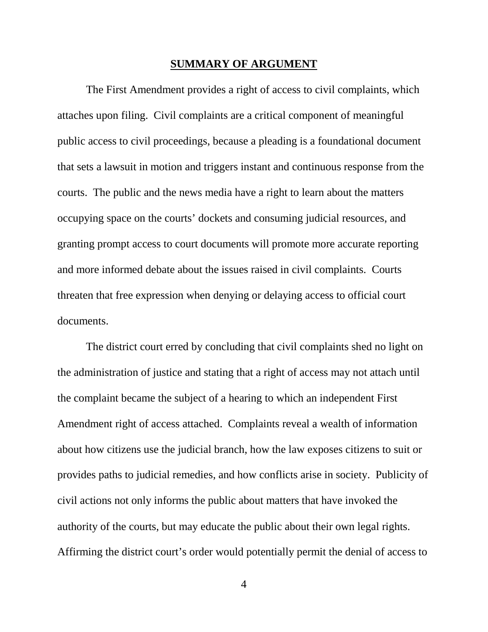#### **SUMMARY OF ARGUMENT**

<span id="page-12-0"></span>The First Amendment provides a right of access to civil complaints, which attaches upon filing. Civil complaints are a critical component of meaningful public access to civil proceedings, because a pleading is a foundational document that sets a lawsuit in motion and triggers instant and continuous response from the courts. The public and the news media have a right to learn about the matters occupying space on the courts' dockets and consuming judicial resources, and granting prompt access to court documents will promote more accurate reporting and more informed debate about the issues raised in civil complaints. Courts threaten that free expression when denying or delaying access to official court documents.

The district court erred by concluding that civil complaints shed no light on the administration of justice and stating that a right of access may not attach until the complaint became the subject of a hearing to which an independent First Amendment right of access attached. Complaints reveal a wealth of information about how citizens use the judicial branch, how the law exposes citizens to suit or provides paths to judicial remedies, and how conflicts arise in society. Publicity of civil actions not only informs the public about matters that have invoked the authority of the courts, but may educate the public about their own legal rights. Affirming the district court's order would potentially permit the denial of access to

4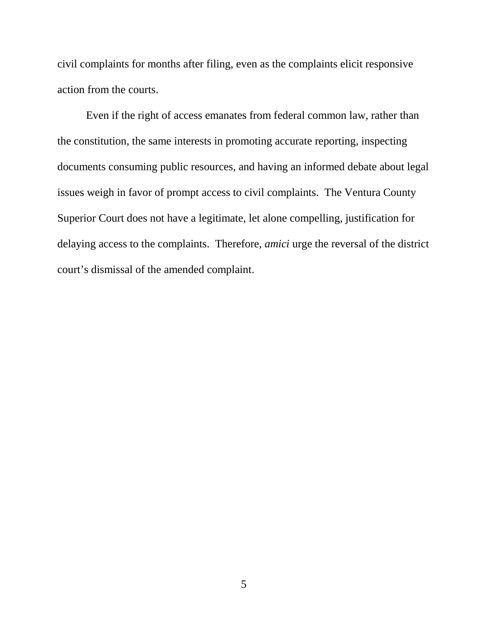civil complaints for months after filing, even as the complaints elicit responsive action from the courts.

Even if the right of access emanates from federal common law, rather than the constitution, the same interests in promoting accurate reporting, inspecting documents consuming public resources, and having an informed debate about legal issues weigh in favor of prompt access to civil complaints. The Ventura County Superior Court does not have a legitimate, let alone compelling, justification for delaying access to the complaints. Therefore, *amici* urge the reversal of the district court's dismissal of the amended complaint.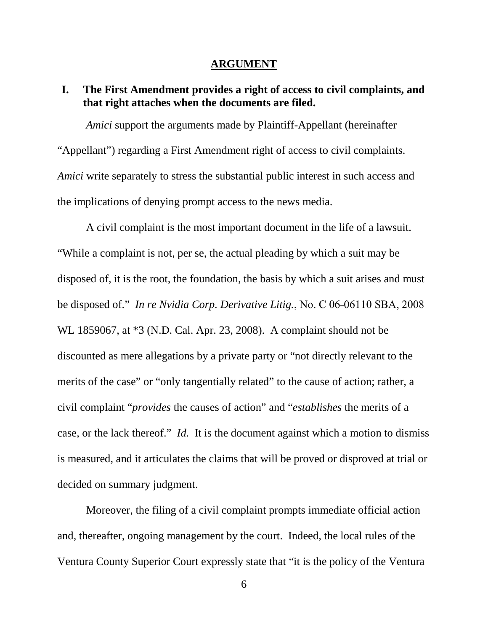#### **ARGUMENT**

### <span id="page-14-1"></span><span id="page-14-0"></span>**I. The First Amendment provides a right of access to civil complaints, and that right attaches when the documents are filed.**

*Amici* support the arguments made by Plaintiff-Appellant (hereinafter "Appellant") regarding a First Amendment right of access to civil complaints. *Amici* write separately to stress the substantial public interest in such access and the implications of denying prompt access to the news media.

A civil complaint is the most important document in the life of a lawsuit. "While a complaint is not, per se, the actual pleading by which a suit may be disposed of, it is the root, the foundation, the basis by which a suit arises and must be disposed of." *In re Nvidia Corp. Derivative Litig.*, No. C 06-06110 SBA, 2008 WL 1859067, at \*3 (N.D. Cal. Apr. 23, 2008). A complaint should not be discounted as mere allegations by a private party or "not directly relevant to the merits of the case" or "only tangentially related" to the cause of action; rather, a civil complaint "*provides* the causes of action" and "*establishes* the merits of a case, or the lack thereof." *Id.* It is the document against which a motion to dismiss is measured, and it articulates the claims that will be proved or disproved at trial or decided on summary judgment.

Moreover, the filing of a civil complaint prompts immediate official action and, thereafter, ongoing management by the court. Indeed, the local rules of the Ventura County Superior Court expressly state that "it is the policy of the Ventura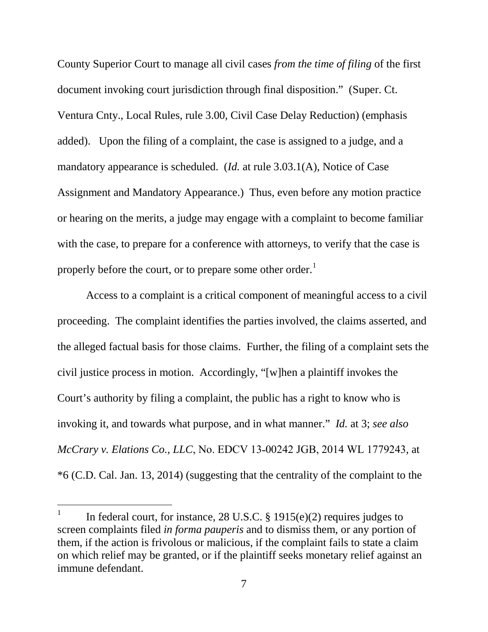County Superior Court to manage all civil cases *from the time of filing* of the first document invoking court jurisdiction through final disposition." (Super. Ct. Ventura Cnty., Local Rules, rule 3.00, Civil Case Delay Reduction) (emphasis added). Upon the filing of a complaint, the case is assigned to a judge, and a mandatory appearance is scheduled. (*Id.* at rule 3.03.1(A), Notice of Case Assignment and Mandatory Appearance.) Thus, even before any motion practice or hearing on the merits, a judge may engage with a complaint to become familiar with the case, to prepare for a conference with attorneys, to verify that the case is properly before the court, or to prepare some other order.<sup>[1](#page-15-0)</sup>

Access to a complaint is a critical component of meaningful access to a civil proceeding. The complaint identifies the parties involved, the claims asserted, and the alleged factual basis for those claims. Further, the filing of a complaint sets the civil justice process in motion. Accordingly, "[w]hen a plaintiff invokes the Court's authority by filing a complaint, the public has a right to know who is invoking it, and towards what purpose, and in what manner." *Id.* at 3; *see also McCrary v. Elations Co., LLC, No. EDCV 13-00242 JGB, 2014 WL 1779243, at* \*6 (C.D. Cal. Jan. 13, 2014) (suggesting that the centrality of the complaint to the

<span id="page-15-0"></span>In federal court, for instance, 28 U.S.C. § 1915(e)(2) requires judges to screen complaints filed *in forma pauperis* and to dismiss them, or any portion of them, if the action is frivolous or malicious, if the complaint fails to state a claim on which relief may be granted, or if the plaintiff seeks monetary relief against an immune defendant.  $\mathbf{1}$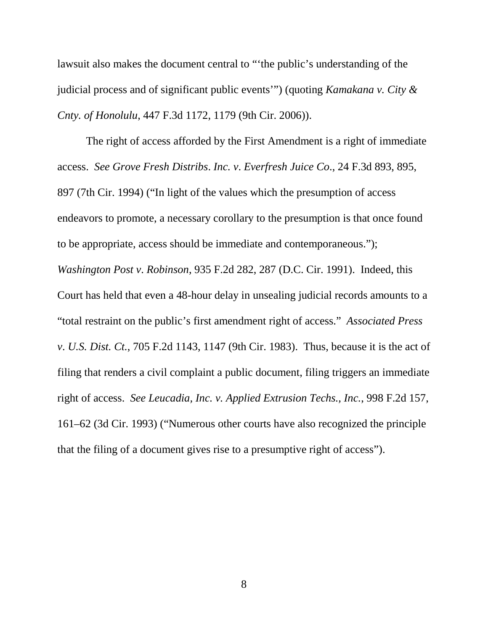lawsuit also makes the document central to "'the public's understanding of the judicial process and of significant public events'") (quoting *Kamakana v. City & Cnty. of Honolulu*, 447 F.3d 1172, 1179 (9th Cir. 2006)).

The right of access afforded by the First Amendment is a right of immediate access. *See Grove Fresh Distribs*. *Inc. v*. *Everfresh Juice Co*., 24 F.3d 893, 895, 897 (7th Cir. 1994) ("In light of the values which the presumption of access endeavors to promote, a necessary corollary to the presumption is that once found to be appropriate, access should be immediate and contemporaneous."); *Washington Post v*. *Robinson*, 935 F.2d 282, 287 (D.C. Cir. 1991). Indeed, this Court has held that even a 48-hour delay in unsealing judicial records amounts to a "total restraint on the public's first amendment right of access." *Associated Press v*. *U.S. Dist. Ct.*, 705 F.2d 1143, 1147 (9th Cir. 1983). Thus, because it is the act of filing that renders a civil complaint a public document, filing triggers an immediate right of access. *See Leucadia, Inc. v. Applied Extrusion Techs., Inc.*, 998 F.2d 157, 161–62 (3d Cir. 1993) ("Numerous other courts have also recognized the principle that the filing of a document gives rise to a presumptive right of access").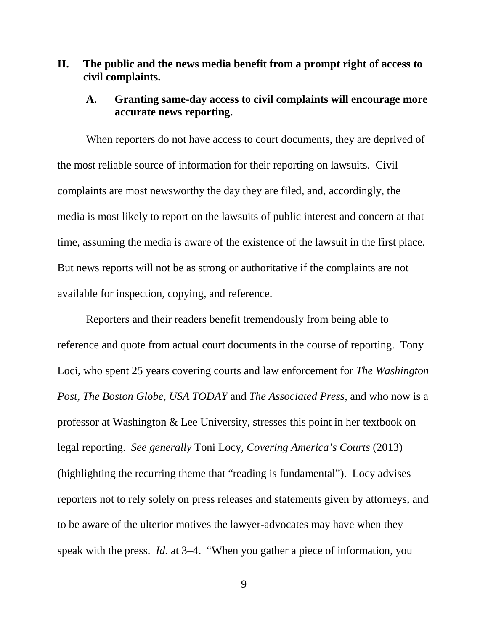### <span id="page-17-0"></span>**II. The public and the news media benefit from a prompt right of access to civil complaints.**

#### <span id="page-17-1"></span>**A. Granting same-day access to civil complaints will encourage more accurate news reporting.**

When reporters do not have access to court documents, they are deprived of the most reliable source of information for their reporting on lawsuits. Civil complaints are most newsworthy the day they are filed, and, accordingly, the media is most likely to report on the lawsuits of public interest and concern at that time, assuming the media is aware of the existence of the lawsuit in the first place. But news reports will not be as strong or authoritative if the complaints are not available for inspection, copying, and reference.

Reporters and their readers benefit tremendously from being able to reference and quote from actual court documents in the course of reporting. Tony Loci, who spent 25 years covering courts and law enforcement for *The Washington Post*, *The Boston Globe*, *USA TODAY* and *The Associated Press*, and who now is a professor at Washington & Lee University, stresses this point in her textbook on legal reporting. *See generally* Toni Locy, *Covering America's Courts* (2013) (highlighting the recurring theme that "reading is fundamental"). Locy advises reporters not to rely solely on press releases and statements given by attorneys, and to be aware of the ulterior motives the lawyer-advocates may have when they speak with the press. *Id.* at 3–4. "When you gather a piece of information, you

9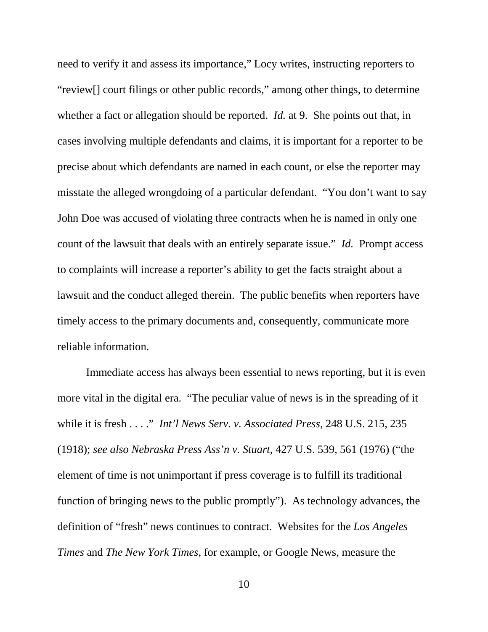need to verify it and assess its importance," Locy writes, instructing reporters to "review[] court filings or other public records," among other things, to determine whether a fact or allegation should be reported. *Id.* at 9. She points out that, in cases involving multiple defendants and claims, it is important for a reporter to be precise about which defendants are named in each count, or else the reporter may misstate the alleged wrongdoing of a particular defendant. "You don't want to say John Doe was accused of violating three contracts when he is named in only one count of the lawsuit that deals with an entirely separate issue." *Id.* Prompt access to complaints will increase a reporter's ability to get the facts straight about a lawsuit and the conduct alleged therein. The public benefits when reporters have timely access to the primary documents and, consequently, communicate more reliable information.

Immediate access has always been essential to news reporting, but it is even more vital in the digital era. "The peculiar value of news is in the spreading of it while it is fresh . . . ." *Int'l News Serv. v. Associated Press*, 248 U.S. 215, 235 (1918); *see also Nebraska Press Ass'n v. Stuart*, 427 U.S. 539, 561 (1976) ("the element of time is not unimportant if press coverage is to fulfill its traditional function of bringing news to the public promptly"). As technology advances, the definition of "fresh" news continues to contract. Websites for the *Los Angeles Times* and *The New York Times*, for example, or Google News, measure the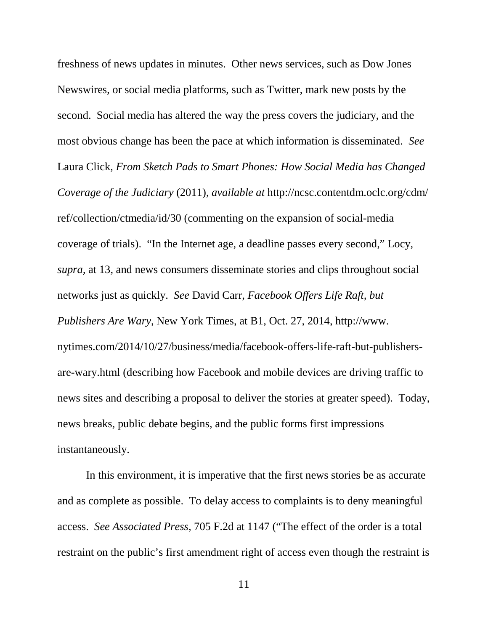freshness of news updates in minutes. Other news services, such as Dow Jones Newswires, or social media platforms, such as Twitter, mark new posts by the second. Social media has altered the way the press covers the judiciary, and the most obvious change has been the pace at which information is disseminated. *See* Laura Click, *From Sketch Pads to Smart Phones: How Social Media has Changed Coverage of the Judiciary* (2011), *available at* http://ncsc.contentdm.oclc.org/cdm/ ref/collection/ctmedia/id/30 (commenting on the expansion of social-media coverage of trials). "In the Internet age, a deadline passes every second," Locy, *supra*, at 13, and news consumers disseminate stories and clips throughout social networks just as quickly. *See* David Carr, *Facebook Offers Life Raft, but Publishers Are Wary*, New York Times, at B1, Oct. 27, 2014, http://www. nytimes.com/2014/10/27/business/media/facebook-offers-life-raft-but-publishersare-wary.html (describing how Facebook and mobile devices are driving traffic to news sites and describing a proposal to deliver the stories at greater speed). Today, news breaks, public debate begins, and the public forms first impressions instantaneously.

In this environment, it is imperative that the first news stories be as accurate and as complete as possible. To delay access to complaints is to deny meaningful access. *See Associated Press*, 705 F.2d at 1147 ("The effect of the order is a total restraint on the public's first amendment right of access even though the restraint is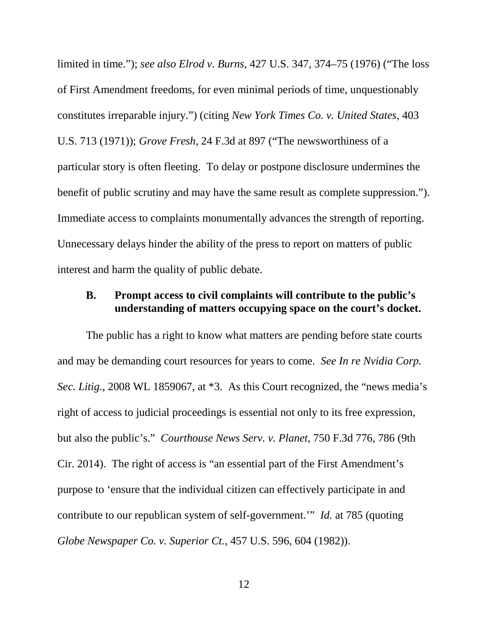limited in time."); *see also Elrod v. Burns*, 427 U.S. 347, 374–75 (1976) ("The loss of First Amendment freedoms, for even minimal periods of time, unquestionably constitutes irreparable injury.") (citing *New York Times Co. v. United States*, 403 U.S. 713 (1971)); *Grove Fresh*, 24 F.3d at 897 ("The newsworthiness of a particular story is often fleeting. To delay or postpone disclosure undermines the benefit of public scrutiny and may have the same result as complete suppression."). Immediate access to complaints monumentally advances the strength of reporting. Unnecessary delays hinder the ability of the press to report on matters of public interest and harm the quality of public debate.

### <span id="page-20-0"></span>**B. Prompt access to civil complaints will contribute to the public's understanding of matters occupying space on the court's docket.**

The public has a right to know what matters are pending before state courts and may be demanding court resources for years to come. *See In re Nvidia Corp. Sec. Litig.*, 2008 WL 1859067, at \*3. As this Court recognized, the "news media's right of access to judicial proceedings is essential not only to its free expression, but also the public's." *Courthouse News Serv. v. Planet*, 750 F.3d 776, 786 (9th Cir. 2014). The right of access is "an essential part of the First Amendment's purpose to 'ensure that the individual citizen can effectively participate in and contribute to our republican system of self-government.'" *Id.* at 785 (quoting *Globe Newspaper Co. v. Superior Ct.*, 457 U.S. 596, 604 (1982)).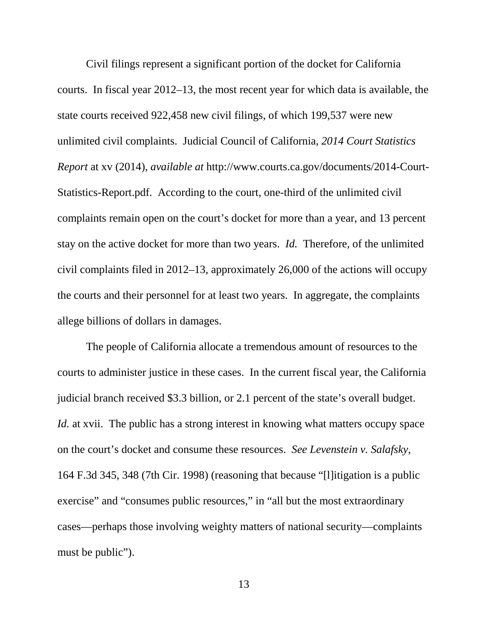Civil filings represent a significant portion of the docket for California courts. In fiscal year 2012–13, the most recent year for which data is available, the state courts received 922,458 new civil filings, of which 199,537 were new unlimited civil complaints. Judicial Council of California, *2014 Court Statistics Report* at xv (2014), *available at* http://www.courts.ca.gov/documents/2014-Court-Statistics-Report.pdf. According to the court, one-third of the unlimited civil complaints remain open on the court's docket for more than a year, and 13 percent stay on the active docket for more than two years. *Id.* Therefore, of the unlimited civil complaints filed in 2012–13, approximately 26,000 of the actions will occupy the courts and their personnel for at least two years. In aggregate, the complaints allege billions of dollars in damages.

The people of California allocate a tremendous amount of resources to the courts to administer justice in these cases. In the current fiscal year, the California judicial branch received \$3.3 billion, or 2.1 percent of the state's overall budget. *Id.* at xvii. The public has a strong interest in knowing what matters occupy space on the court's docket and consume these resources. *See Levenstein v. Salafsky*, 164 F.3d 345, 348 (7th Cir. 1998) (reasoning that because "[l]itigation is a public exercise" and "consumes public resources," in "all but the most extraordinary cases—perhaps those involving weighty matters of national security—complaints must be public").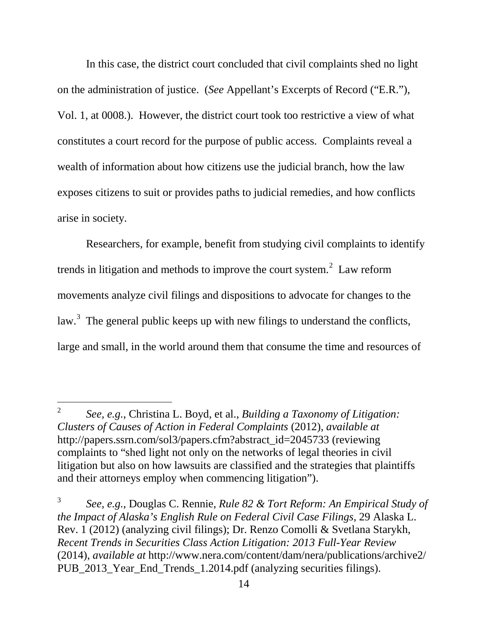In this case, the district court concluded that civil complaints shed no light on the administration of justice. (*See* Appellant's Excerpts of Record ("E.R."), Vol. 1, at 0008.). However, the district court took too restrictive a view of what constitutes a court record for the purpose of public access. Complaints reveal a wealth of information about how citizens use the judicial branch, how the law exposes citizens to suit or provides paths to judicial remedies, and how conflicts arise in society.

Researchers, for example, benefit from studying civil complaints to identify trends in litigation and methods to improve the court system.<sup>[2](#page-22-0)</sup> Law reform movements analyze civil filings and dispositions to advocate for changes to the law.<sup>[3](#page-22-1)</sup> The general public keeps up with new filings to understand the conflicts, large and small, in the world around them that consume the time and resources of

<span id="page-22-0"></span><sup>2</sup> *See, e.g.*, Christina L. Boyd, et al., *Building a Taxonomy of Litigation: Clusters of Causes of Action in Federal Complaints* (2012), *available at* http://papers.ssrn.com/sol3/papers.cfm?abstract\_id=2045733 (reviewing complaints to "shed light not only on the networks of legal theories in civil litigation but also on how lawsuits are classified and the strategies that plaintiffs and their attorneys employ when commencing litigation").  $\overline{2}$ 

<span id="page-22-1"></span><sup>3</sup> *See, e.g.*, Douglas C. Rennie, *Rule 82 & Tort Reform: An Empirical Study of the Impact of Alaska's English Rule on Federal Civil Case Filings*, 29 Alaska L. Rev. 1 (2012) (analyzing civil filings); Dr. Renzo Comolli & Svetlana Starykh, *Recent Trends in Securities Class Action Litigation: 2013 Full-Year Review* (2014), *available at* http://www.nera.com/content/dam/nera/publications/archive2/ PUB\_2013\_Year\_End\_Trends\_1.2014.pdf (analyzing securities filings).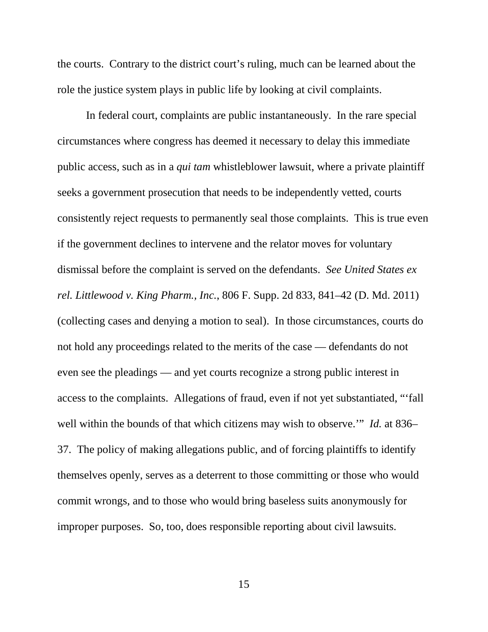the courts. Contrary to the district court's ruling, much can be learned about the role the justice system plays in public life by looking at civil complaints.

In federal court, complaints are public instantaneously. In the rare special circumstances where congress has deemed it necessary to delay this immediate public access, such as in a *qui tam* whistleblower lawsuit, where a private plaintiff seeks a government prosecution that needs to be independently vetted, courts consistently reject requests to permanently seal those complaints. This is true even if the government declines to intervene and the relator moves for voluntary dismissal before the complaint is served on the defendants. *See United States ex rel. Littlewood v. King Pharm., Inc.*, 806 F. Supp. 2d 833, 841–42 (D. Md. 2011) (collecting cases and denying a motion to seal). In those circumstances, courts do not hold any proceedings related to the merits of the case — defendants do not even see the pleadings — and yet courts recognize a strong public interest in access to the complaints. Allegations of fraud, even if not yet substantiated, "'fall well within the bounds of that which citizens may wish to observe.'" *Id.* at 836– 37. The policy of making allegations public, and of forcing plaintiffs to identify themselves openly, serves as a deterrent to those committing or those who would commit wrongs, and to those who would bring baseless suits anonymously for improper purposes. So, too, does responsible reporting about civil lawsuits.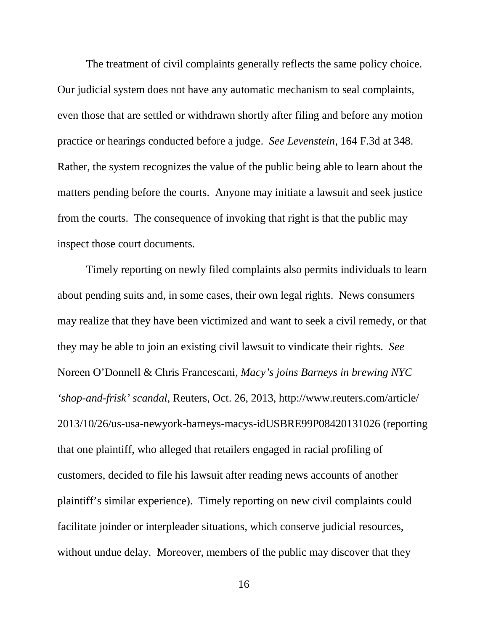The treatment of civil complaints generally reflects the same policy choice. Our judicial system does not have any automatic mechanism to seal complaints, even those that are settled or withdrawn shortly after filing and before any motion practice or hearings conducted before a judge. *See Levenstein*, 164 F.3d at 348. Rather, the system recognizes the value of the public being able to learn about the matters pending before the courts. Anyone may initiate a lawsuit and seek justice from the courts. The consequence of invoking that right is that the public may inspect those court documents.

Timely reporting on newly filed complaints also permits individuals to learn about pending suits and, in some cases, their own legal rights. News consumers may realize that they have been victimized and want to seek a civil remedy, or that they may be able to join an existing civil lawsuit to vindicate their rights. *See*  Noreen O'Donnell & Chris Francescani, *Macy's joins Barneys in brewing NYC 'shop-and-frisk' scandal*, Reuters, Oct. 26, 2013, http://www.reuters.com/article/ 2013/10/26/us-usa-newyork-barneys-macys-idUSBRE99P08420131026 (reporting that one plaintiff, who alleged that retailers engaged in racial profiling of customers, decided to file his lawsuit after reading news accounts of another plaintiff's similar experience). Timely reporting on new civil complaints could facilitate joinder or interpleader situations, which conserve judicial resources, without undue delay. Moreover, members of the public may discover that they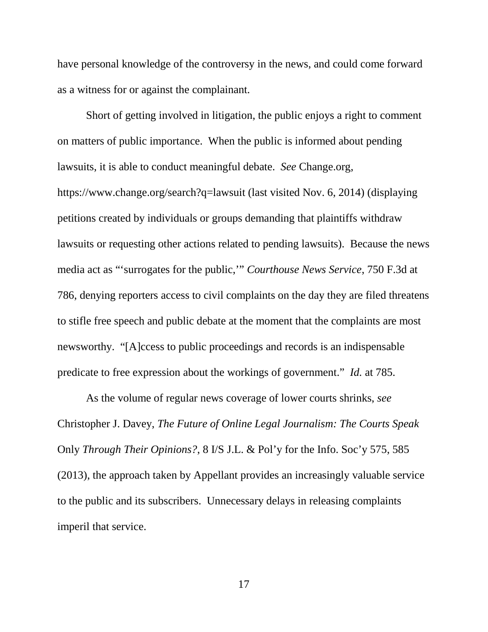have personal knowledge of the controversy in the news, and could come forward as a witness for or against the complainant.

Short of getting involved in litigation, the public enjoys a right to comment on matters of public importance. When the public is informed about pending lawsuits, it is able to conduct meaningful debate. *See* Change.org, https://www.change.org/search?q=lawsuit (last visited Nov. 6, 2014) (displaying petitions created by individuals or groups demanding that plaintiffs withdraw lawsuits or requesting other actions related to pending lawsuits). Because the news media act as "'surrogates for the public,'" *Courthouse News Service*, 750 F.3d at 786, denying reporters access to civil complaints on the day they are filed threatens to stifle free speech and public debate at the moment that the complaints are most newsworthy. "[A]ccess to public proceedings and records is an indispensable predicate to free expression about the workings of government." *Id.* at 785.

As the volume of regular news coverage of lower courts shrinks, *see*  Christopher J. Davey, *The Future of Online Legal Journalism: The Courts Speak*  Only *Through Their Opinions?*, 8 I/S J.L. & Pol'y for the Info. Soc'y 575, 585 (2013), the approach taken by Appellant provides an increasingly valuable service to the public and its subscribers. Unnecessary delays in releasing complaints imperil that service.

17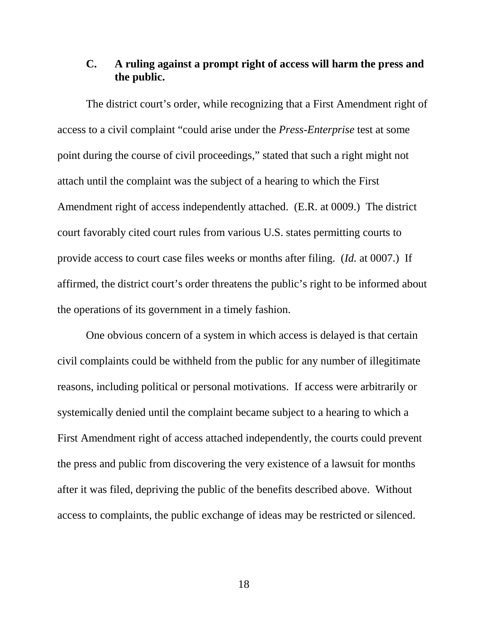#### <span id="page-26-0"></span>**C. A ruling against a prompt right of access will harm the press and the public.**

The district court's order, while recognizing that a First Amendment right of access to a civil complaint "could arise under the *Press-Enterprise* test at some point during the course of civil proceedings," stated that such a right might not attach until the complaint was the subject of a hearing to which the First Amendment right of access independently attached. (E.R. at 0009.) The district court favorably cited court rules from various U.S. states permitting courts to provide access to court case files weeks or months after filing. (*Id.* at 0007.) If affirmed, the district court's order threatens the public's right to be informed about the operations of its government in a timely fashion.

One obvious concern of a system in which access is delayed is that certain civil complaints could be withheld from the public for any number of illegitimate reasons, including political or personal motivations. If access were arbitrarily or systemically denied until the complaint became subject to a hearing to which a First Amendment right of access attached independently, the courts could prevent the press and public from discovering the very existence of a lawsuit for months after it was filed, depriving the public of the benefits described above. Without access to complaints, the public exchange of ideas may be restricted or silenced.

18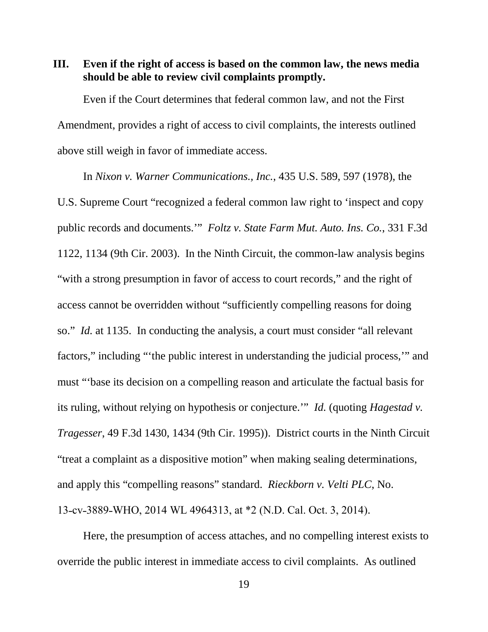<span id="page-27-0"></span>**III. Even if the right of access is based on the common law, the news media should be able to review civil complaints promptly.**

Even if the Court determines that federal common law, and not the First Amendment, provides a right of access to civil complaints, the interests outlined above still weigh in favor of immediate access.

In *Nixon v. Warner Communications., Inc.*, 435 U.S. 589, 597 (1978), the U.S. Supreme Court "recognized a federal common law right to 'inspect and copy public records and documents.'" *Foltz v. State Farm Mut. Auto. Ins. Co.*, 331 F.3d 1122, 1134 (9th Cir. 2003). In the Ninth Circuit, the common-law analysis begins "with a strong presumption in favor of access to court records," and the right of access cannot be overridden without "sufficiently compelling reasons for doing so." *Id.* at 1135. In conducting the analysis, a court must consider "all relevant factors," including "'the public interest in understanding the judicial process,'" and must "'base its decision on a compelling reason and articulate the factual basis for its ruling, without relying on hypothesis or conjecture.'" *Id.* (quoting *Hagestad v. Tragesser*, 49 F.3d 1430, 1434 (9th Cir. 1995)). District courts in the Ninth Circuit "treat a complaint as a dispositive motion" when making sealing determinations, and apply this "compelling reasons" standard. *Rieckborn v. Velti PLC*, No. 13-cv-3889-WHO, 2014 WL 4964313, at \*2 (N.D. Cal. Oct. 3, 2014).

Here, the presumption of access attaches, and no compelling interest exists to override the public interest in immediate access to civil complaints. As outlined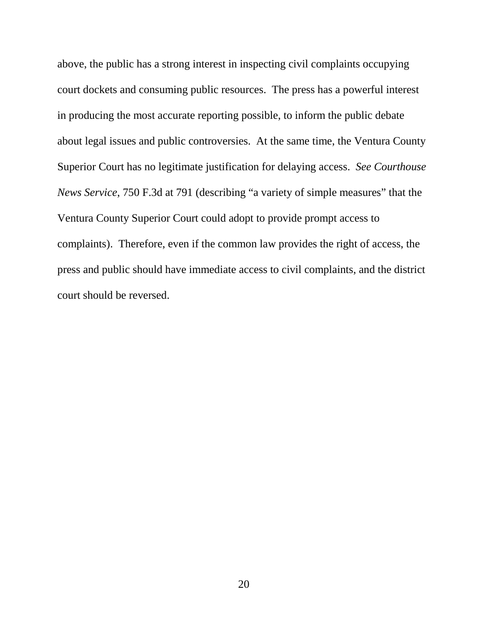above, the public has a strong interest in inspecting civil complaints occupying court dockets and consuming public resources. The press has a powerful interest in producing the most accurate reporting possible, to inform the public debate about legal issues and public controversies. At the same time, the Ventura County Superior Court has no legitimate justification for delaying access. *See Courthouse News Service*, 750 F.3d at 791 (describing "a variety of simple measures" that the Ventura County Superior Court could adopt to provide prompt access to complaints). Therefore, even if the common law provides the right of access, the press and public should have immediate access to civil complaints, and the district court should be reversed.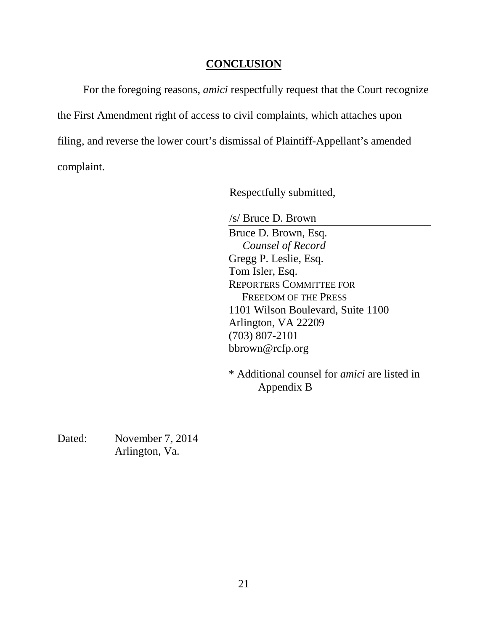### **CONCLUSION**

<span id="page-29-0"></span>For the foregoing reasons, *amici* respectfully request that the Court recognize the First Amendment right of access to civil complaints, which attaches upon filing, and reverse the lower court's dismissal of Plaintiff-Appellant's amended complaint.

Respectfully submitted,

/s/ Bruce D. Brown

Bruce D. Brown, Esq. *Counsel of Record* Gregg P. Leslie, Esq. Tom Isler, Esq. REPORTERS COMMITTEE FOR FREEDOM OF THE PRESS 1101 Wilson Boulevard, Suite 1100 Arlington, VA 22209 (703) 807-2101 bbrown@rcfp.org

\* Additional counsel for *amici* are listed in Appendix B

Dated: November 7, 2014 Arlington, Va.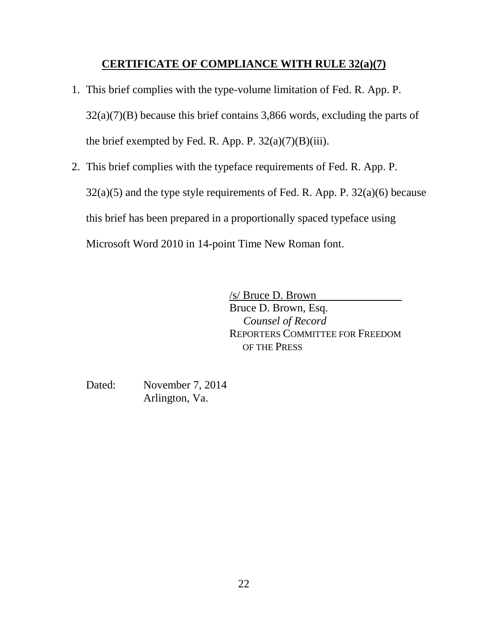## **CERTIFICATE OF COMPLIANCE WITH RULE 32(a)(7)**

- 1. This brief complies with the type-volume limitation of Fed. R. App. P.  $32(a)(7)(B)$  because this brief contains 3,866 words, excluding the parts of the brief exempted by Fed. R. App. P.  $32(a)(7)(B)(iii)$ .
- 2. This brief complies with the typeface requirements of Fed. R. App. P.  $32(a)(5)$  and the type style requirements of Fed. R. App. P.  $32(a)(6)$  because this brief has been prepared in a proportionally spaced typeface using Microsoft Word 2010 in 14-point Time New Roman font.

/s/ Bruce D. Brown Bruce D. Brown, Esq. *Counsel of Record* REPORTERS COMMITTEE FOR FREEDOM OF THE PRESS

Dated: November 7, 2014 Arlington, Va.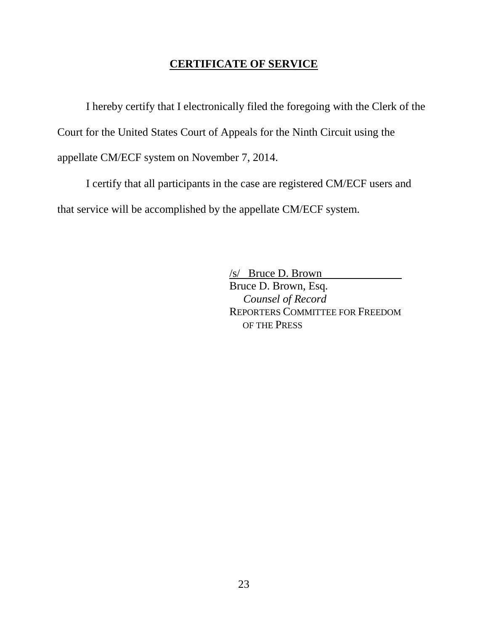### **CERTIFICATE OF SERVICE**

I hereby certify that I electronically filed the foregoing with the Clerk of the Court for the United States Court of Appeals for the Ninth Circuit using the appellate CM/ECF system on November 7, 2014.

I certify that all participants in the case are registered CM/ECF users and that service will be accomplished by the appellate CM/ECF system.

> /s/ Bruce D. Brown Bruce D. Brown, Esq.  *Counsel of Record* REPORTERS COMMITTEE FOR FREEDOM OF THE PRESS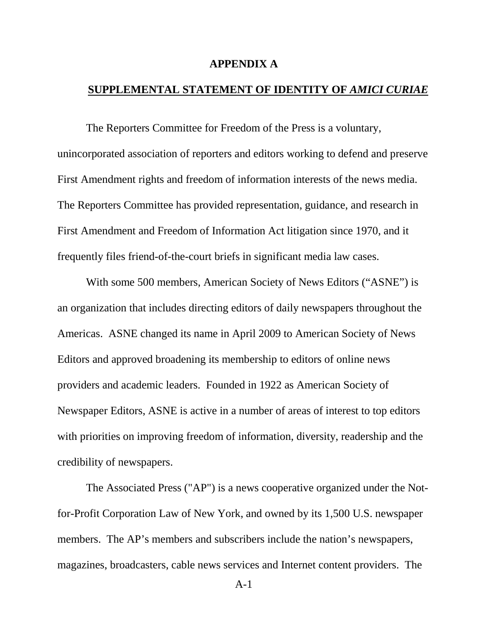#### **APPENDIX A**

#### <span id="page-32-0"></span>**SUPPLEMENTAL STATEMENT OF IDENTITY OF** *AMICI CURIAE*

The Reporters Committee for Freedom of the Press is a voluntary, unincorporated association of reporters and editors working to defend and preserve First Amendment rights and freedom of information interests of the news media. The Reporters Committee has provided representation, guidance, and research in First Amendment and Freedom of Information Act litigation since 1970, and it frequently files friend-of-the-court briefs in significant media law cases.

With some 500 members, American Society of News Editors ("ASNE") is an organization that includes directing editors of daily newspapers throughout the Americas. ASNE changed its name in April 2009 to American Society of News Editors and approved broadening its membership to editors of online news providers and academic leaders. Founded in 1922 as American Society of Newspaper Editors, ASNE is active in a number of areas of interest to top editors with priorities on improving freedom of information, diversity, readership and the credibility of newspapers.

The Associated Press ("AP") is a news cooperative organized under the Notfor-Profit Corporation Law of New York, and owned by its 1,500 U.S. newspaper members. The AP's members and subscribers include the nation's newspapers, magazines, broadcasters, cable news services and Internet content providers. The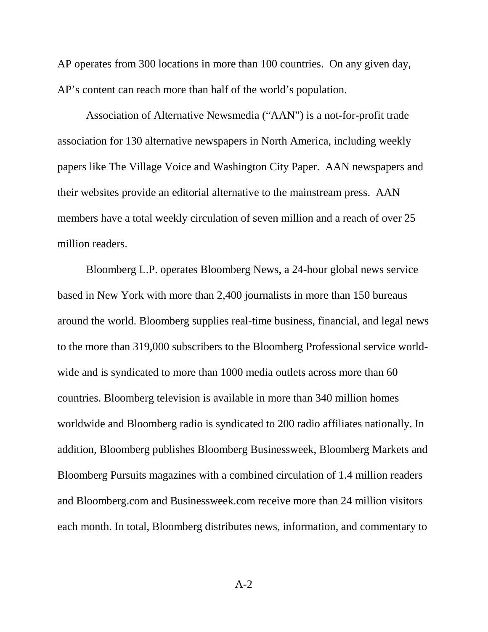AP operates from 300 locations in more than 100 countries. On any given day, AP's content can reach more than half of the world's population.

Association of Alternative Newsmedia ("AAN") is a not-for-profit trade association for 130 alternative newspapers in North America, including weekly papers like The Village Voice and Washington City Paper. AAN newspapers and their websites provide an editorial alternative to the mainstream press. AAN members have a total weekly circulation of seven million and a reach of over 25 million readers.

Bloomberg L.P. operates Bloomberg News, a 24-hour global news service based in New York with more than 2,400 journalists in more than 150 bureaus around the world. Bloomberg supplies real-time business, financial, and legal news to the more than 319,000 subscribers to the Bloomberg Professional service worldwide and is syndicated to more than 1000 media outlets across more than 60 countries. Bloomberg television is available in more than 340 million homes worldwide and Bloomberg radio is syndicated to 200 radio affiliates nationally. In addition, Bloomberg publishes Bloomberg Businessweek, Bloomberg Markets and Bloomberg Pursuits magazines with a combined circulation of 1.4 million readers and Bloomberg.com and Businessweek.com receive more than 24 million visitors each month. In total, Bloomberg distributes news, information, and commentary to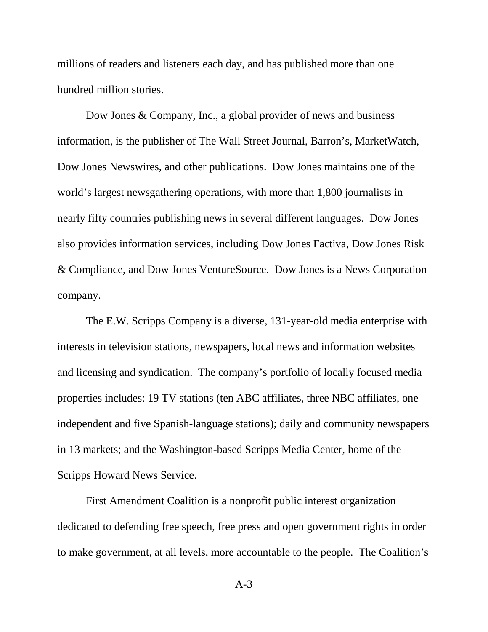millions of readers and listeners each day, and has published more than one hundred million stories.

Dow Jones & Company, Inc., a global provider of news and business information, is the publisher of The Wall Street Journal, Barron's, MarketWatch, Dow Jones Newswires, and other publications. Dow Jones maintains one of the world's largest newsgathering operations, with more than 1,800 journalists in nearly fifty countries publishing news in several different languages. Dow Jones also provides information services, including Dow Jones Factiva, Dow Jones Risk & Compliance, and Dow Jones VentureSource. Dow Jones is a News Corporation company.

The E.W. Scripps Company is a diverse, 131-year-old media enterprise with interests in television stations, newspapers, local news and information websites and licensing and syndication. The company's portfolio of locally focused media properties includes: 19 TV stations (ten ABC affiliates, three NBC affiliates, one independent and five Spanish-language stations); daily and community newspapers in 13 markets; and the Washington-based Scripps Media Center, home of the Scripps Howard News Service.

First Amendment Coalition is a nonprofit public interest organization dedicated to defending free speech, free press and open government rights in order to make government, at all levels, more accountable to the people. The Coalition's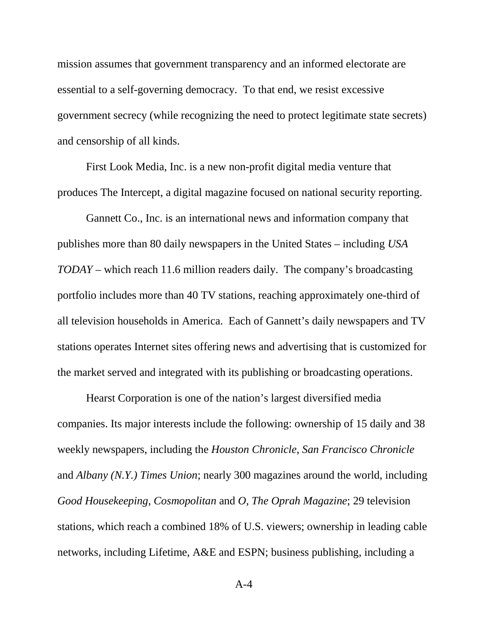mission assumes that government transparency and an informed electorate are essential to a self-governing democracy. To that end, we resist excessive government secrecy (while recognizing the need to protect legitimate state secrets) and censorship of all kinds.

First Look Media, Inc. is a new non-profit digital media venture that produces The Intercept, a digital magazine focused on national security reporting.

Gannett Co., Inc. is an international news and information company that publishes more than 80 daily newspapers in the United States – including *USA TODAY* – which reach 11.6 million readers daily. The company's broadcasting portfolio includes more than 40 TV stations, reaching approximately one-third of all television households in America. Each of Gannett's daily newspapers and TV stations operates Internet sites offering news and advertising that is customized for the market served and integrated with its publishing or broadcasting operations.

Hearst Corporation is one of the nation's largest diversified media companies. Its major interests include the following: ownership of 15 daily and 38 weekly newspapers, including the *Houston Chronicle*, *San Francisco Chronicle* and *Albany (N.Y.) Times Union*; nearly 300 magazines around the world, including *Good Housekeeping*, *Cosmopolitan* and *O, The Oprah Magazine*; 29 television stations, which reach a combined 18% of U.S. viewers; ownership in leading cable networks, including Lifetime, A&E and ESPN; business publishing, including a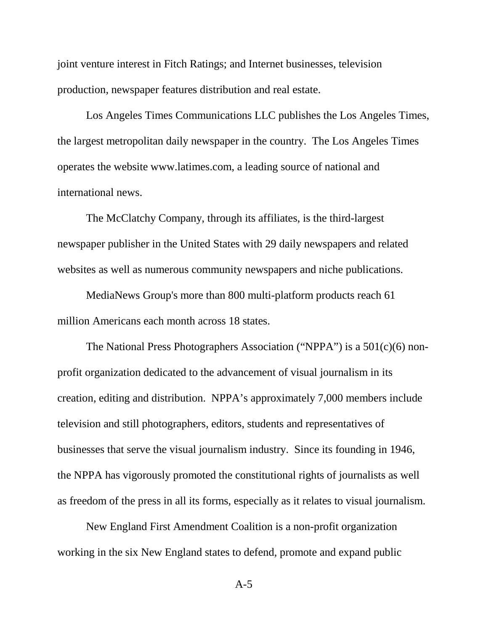joint venture interest in Fitch Ratings; and Internet businesses, television production, newspaper features distribution and real estate.

Los Angeles Times Communications LLC publishes the Los Angeles Times, the largest metropolitan daily newspaper in the country. The Los Angeles Times operates the website www.latimes.com, a leading source of national and international news.

The McClatchy Company, through its affiliates, is the third-largest newspaper publisher in the United States with 29 daily newspapers and related websites as well as numerous community newspapers and niche publications.

MediaNews Group's more than 800 multi-platform products reach 61 million Americans each month across 18 states.

The National Press Photographers Association ("NPPA") is a 501(c)(6) nonprofit organization dedicated to the advancement of visual journalism in its creation, editing and distribution. NPPA's approximately 7,000 members include television and still photographers, editors, students and representatives of businesses that serve the visual journalism industry. Since its founding in 1946, the NPPA has vigorously promoted the constitutional rights of journalists as well as freedom of the press in all its forms, especially as it relates to visual journalism.

New England First Amendment Coalition is a non-profit organization working in the six New England states to defend, promote and expand public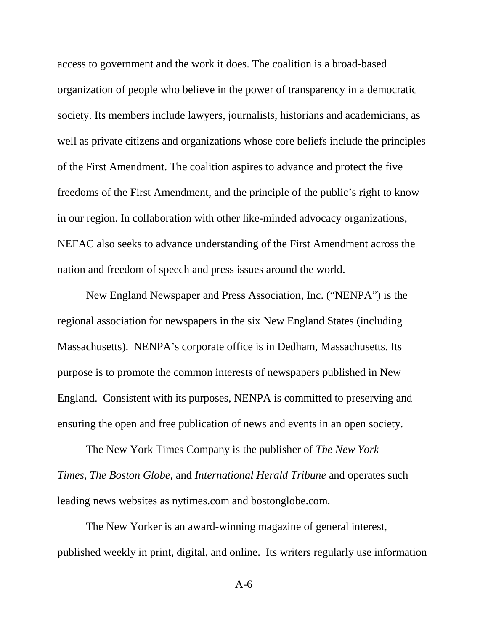access to government and the work it does. The coalition is a broad-based organization of people who believe in the power of transparency in a democratic society. Its members include lawyers, journalists, historians and academicians, as well as private citizens and organizations whose core beliefs include the principles of the First Amendment. The coalition aspires to advance and protect the five freedoms of the First Amendment, and the principle of the public's right to know in our region. In collaboration with other like-minded advocacy organizations, NEFAC also seeks to advance understanding of the First Amendment across the nation and freedom of speech and press issues around the world.

New England Newspaper and Press Association, Inc. ("NENPA") is the regional association for newspapers in the six New England States (including Massachusetts). NENPA's corporate office is in Dedham, Massachusetts. Its purpose is to promote the common interests of newspapers published in New England. Consistent with its purposes, NENPA is committed to preserving and ensuring the open and free publication of news and events in an open society.

The New York Times Company is the publisher of *The New York Times*, *The Boston Globe*, and *International Herald Tribune* and operates such leading news websites as nytimes.com and bostonglobe.com.

The New Yorker is an award-winning magazine of general interest, published weekly in print, digital, and online. Its writers regularly use information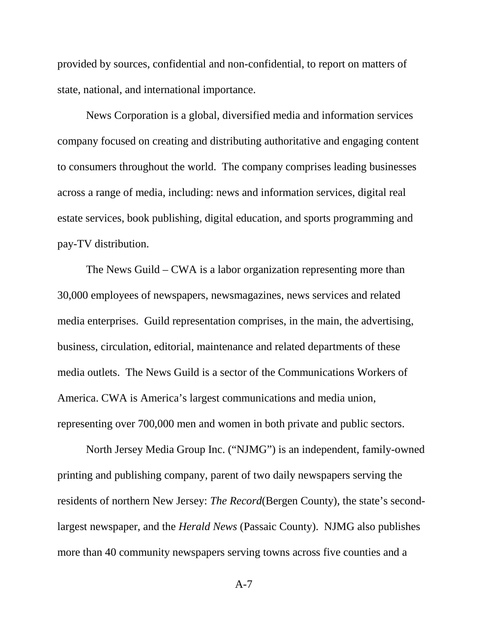provided by sources, confidential and non-confidential, to report on matters of state, national, and international importance.

News Corporation is a global, diversified media and information services company focused on creating and distributing authoritative and engaging content to consumers throughout the world. The company comprises leading businesses across a range of media, including: news and information services, digital real estate services, book publishing, digital education, and sports programming and pay-TV distribution.

The News Guild – CWA is a labor organization representing more than 30,000 employees of newspapers, newsmagazines, news services and related media enterprises. Guild representation comprises, in the main, the advertising, business, circulation, editorial, maintenance and related departments of these media outlets. The News Guild is a sector of the Communications Workers of America. CWA is America's largest communications and media union, representing over 700,000 men and women in both private and public sectors.

North Jersey Media Group Inc. ("NJMG") is an independent, family-owned printing and publishing company, parent of two daily newspapers serving the residents of northern New Jersey: *The Record*(Bergen County), the state's secondlargest newspaper, and the *Herald News* (Passaic County). NJMG also publishes more than 40 community newspapers serving towns across five counties and a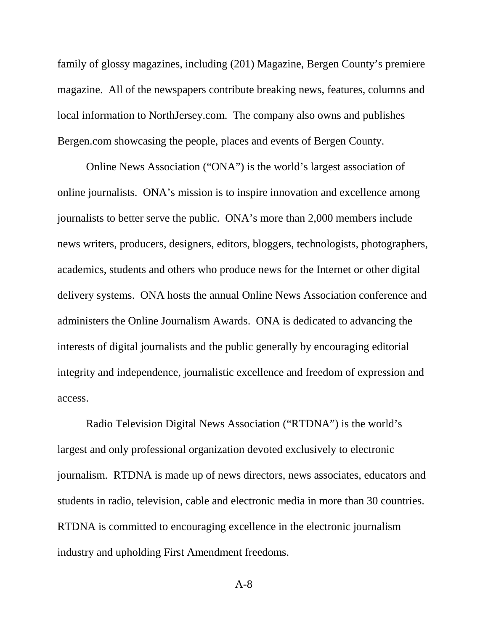family of glossy magazines, including (201) Magazine, Bergen County's premiere magazine. All of the newspapers contribute breaking news, features, columns and local information to NorthJersey.com. The company also owns and publishes Bergen.com showcasing the people, places and events of Bergen County.

Online News Association ("ONA") is the world's largest association of online journalists. ONA's mission is to inspire innovation and excellence among journalists to better serve the public. ONA's more than 2,000 members include news writers, producers, designers, editors, bloggers, technologists, photographers, academics, students and others who produce news for the Internet or other digital delivery systems. ONA hosts the annual Online News Association conference and administers the Online Journalism Awards. ONA is dedicated to advancing the interests of digital journalists and the public generally by encouraging editorial integrity and independence, journalistic excellence and freedom of expression and access.

Radio Television Digital News Association ("RTDNA") is the world's largest and only professional organization devoted exclusively to electronic journalism. RTDNA is made up of news directors, news associates, educators and students in radio, television, cable and electronic media in more than 30 countries. RTDNA is committed to encouraging excellence in the electronic journalism industry and upholding First Amendment freedoms.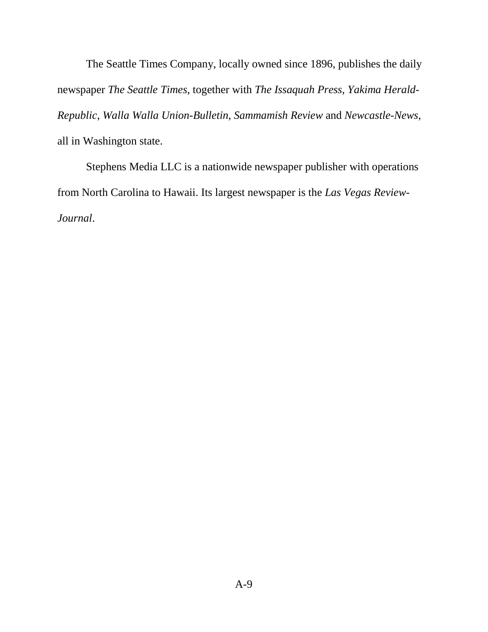The Seattle Times Company, locally owned since 1896, publishes the daily newspaper *The Seattle Times*, together with *The Issaquah Press*, *Yakima Herald-Republic*, *Walla Walla Union-Bulletin*, *Sammamish Review* and *Newcastle-News*, all in Washington state.

Stephens Media LLC is a nationwide newspaper publisher with operations from North Carolina to Hawaii. Its largest newspaper is the *Las Vegas Review-Journal*.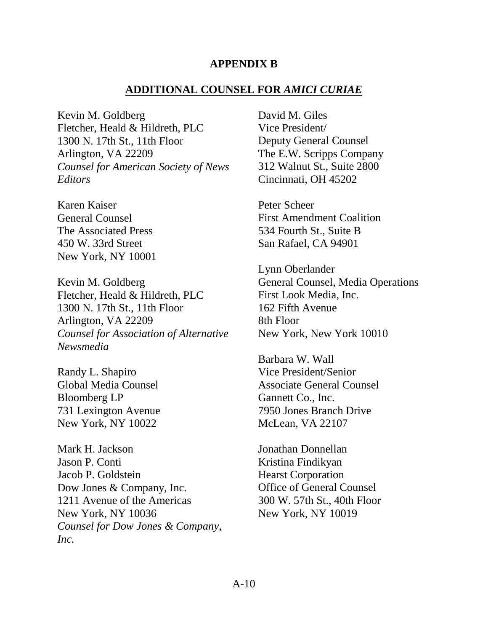#### **APPENDIX B**

#### **ADDITIONAL COUNSEL FOR** *AMICI CURIAE*

<span id="page-41-0"></span>Kevin M. Goldberg Fletcher, Heald & Hildreth, PLC 1300 N. 17th St., 11th Floor Arlington, VA 22209 *Counsel for American Society of News Editors*

Karen Kaiser General Counsel The Associated Press 450 W. 33rd Street New York, NY 10001

Kevin M. Goldberg Fletcher, Heald & Hildreth, PLC 1300 N. 17th St., 11th Floor Arlington, VA 22209 *Counsel for Association of Alternative Newsmedia*

Randy L. Shapiro Global Media Counsel Bloomberg LP 731 Lexington Avenue New York, NY 10022

Mark H. Jackson Jason P. Conti Jacob P. Goldstein Dow Jones & Company, Inc. 1211 Avenue of the Americas New York, NY 10036 *Counsel for Dow Jones & Company, Inc.*

David M. Giles Vice President/ Deputy General Counsel The E.W. Scripps Company 312 Walnut St., Suite 2800 Cincinnati, OH 45202

Peter Scheer First Amendment Coalition 534 Fourth St., Suite B San Rafael, CA 94901

Lynn Oberlander General Counsel, Media Operations First Look Media, Inc. 162 Fifth Avenue 8th Floor New York, New York 10010

Barbara W. Wall Vice President/Senior Associate General Counsel Gannett Co., Inc. 7950 Jones Branch Drive McLean, VA 22107

Jonathan Donnellan Kristina Findikyan Hearst Corporation Office of General Counsel 300 W. 57th St., 40th Floor New York, NY 10019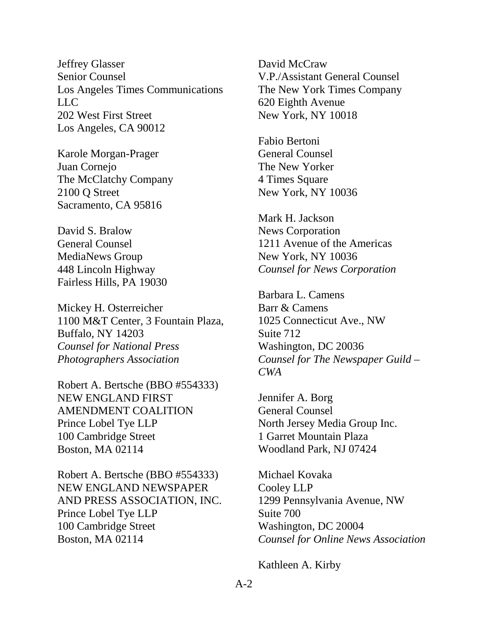Jeffrey Glasser Senior Counsel Los Angeles Times Communications LLC 202 West First Street Los Angeles, CA 90012

Karole Morgan-Prager Juan Cornejo The McClatchy Company 2100 Q Street Sacramento, CA 95816

David S. Bralow General Counsel MediaNews Group 448 Lincoln Highway Fairless Hills, PA 19030

Mickey H. Osterreicher 1100 M&T Center, 3 Fountain Plaza, Buffalo, NY 14203 *Counsel for National Press Photographers Association*

Robert A. Bertsche (BBO #554333) NEW ENGLAND FIRST AMENDMENT COALITION Prince Lobel Tye LLP 100 Cambridge Street Boston, MA 02114

Robert A. Bertsche (BBO #554333) NEW ENGLAND NEWSPAPER AND PRESS ASSOCIATION, INC. Prince Lobel Tye LLP 100 Cambridge Street Boston, MA 02114

David McCraw V.P./Assistant General Counsel The New York Times Company 620 Eighth Avenue New York, NY 10018

Fabio Bertoni General Counsel The New Yorker 4 Times Square New York, NY 10036

Mark H. Jackson News Corporation 1211 Avenue of the Americas New York, NY 10036 *Counsel for News Corporation*

Barbara L. Camens Barr & Camens 1025 Connecticut Ave., NW Suite 712 Washington, DC 20036 *Counsel for The Newspaper Guild – CWA*

Jennifer A. Borg General Counsel North Jersey Media Group Inc. 1 Garret Mountain Plaza Woodland Park, NJ 07424

Michael Kovaka Cooley LLP 1299 Pennsylvania Avenue, NW Suite 700 Washington, DC 20004 *Counsel for Online News Association*

Kathleen A. Kirby